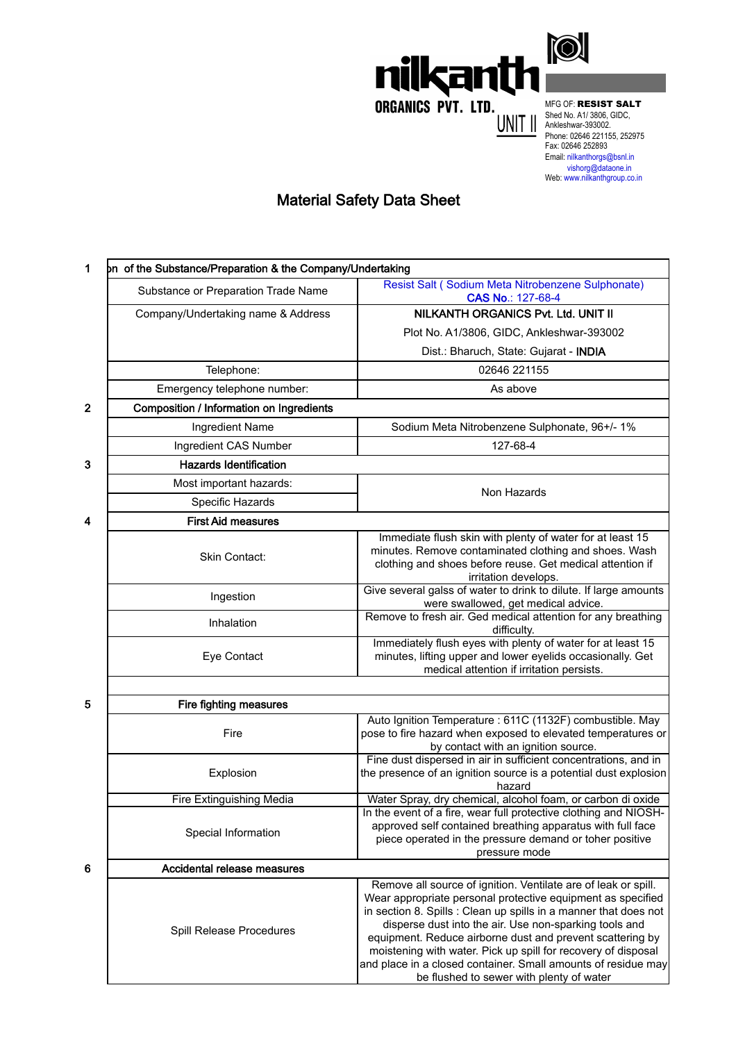

MFG OF: RESIST SALT Shed No. A1/ 3806, GIDC,  $\overline{UNIT}$  |  $\overline{S}$  hed No. A1/3806, (<br>Ankleshwar-393002. Phone: 02646 221155, 252975 Fax: 02646 252893

> Email: nilkanthorgs@bsnl.in vishorg@dataone.in Web: www.nilkanthgroup.co.in

## Material Safety Data Sheet

| 1 | bn of the Substance/Preparation & the Company/Undertaking |                                                                                                                                                                                                                                                                                                                                                                                                                                                                                                        |  |
|---|-----------------------------------------------------------|--------------------------------------------------------------------------------------------------------------------------------------------------------------------------------------------------------------------------------------------------------------------------------------------------------------------------------------------------------------------------------------------------------------------------------------------------------------------------------------------------------|--|
|   | Substance or Preparation Trade Name                       | Resist Salt (Sodium Meta Nitrobenzene Sulphonate)<br>CAS No.: 127-68-4                                                                                                                                                                                                                                                                                                                                                                                                                                 |  |
|   | Company/Undertaking name & Address                        | <b>NILKANTH ORGANICS Pvt. Ltd. UNIT II</b>                                                                                                                                                                                                                                                                                                                                                                                                                                                             |  |
|   |                                                           | Plot No. A1/3806, GIDC, Ankleshwar-393002                                                                                                                                                                                                                                                                                                                                                                                                                                                              |  |
|   |                                                           | Dist.: Bharuch, State: Gujarat - INDIA                                                                                                                                                                                                                                                                                                                                                                                                                                                                 |  |
|   | Telephone:                                                | 02646 221155                                                                                                                                                                                                                                                                                                                                                                                                                                                                                           |  |
|   | Emergency telephone number:                               | As above                                                                                                                                                                                                                                                                                                                                                                                                                                                                                               |  |
| 2 | Composition / Information on Ingredients                  |                                                                                                                                                                                                                                                                                                                                                                                                                                                                                                        |  |
|   | Ingredient Name                                           | Sodium Meta Nitrobenzene Sulphonate, 96+/- 1%                                                                                                                                                                                                                                                                                                                                                                                                                                                          |  |
|   | Ingredient CAS Number                                     | 127-68-4                                                                                                                                                                                                                                                                                                                                                                                                                                                                                               |  |
| 3 | <b>Hazards Identification</b>                             |                                                                                                                                                                                                                                                                                                                                                                                                                                                                                                        |  |
|   | Most important hazards:                                   | Non Hazards                                                                                                                                                                                                                                                                                                                                                                                                                                                                                            |  |
|   | Specific Hazards                                          |                                                                                                                                                                                                                                                                                                                                                                                                                                                                                                        |  |
| 4 | <b>First Aid measures</b>                                 |                                                                                                                                                                                                                                                                                                                                                                                                                                                                                                        |  |
|   | Skin Contact:                                             | Immediate flush skin with plenty of water for at least 15<br>minutes. Remove contaminated clothing and shoes. Wash<br>clothing and shoes before reuse. Get medical attention if<br>irritation develops.                                                                                                                                                                                                                                                                                                |  |
|   | Ingestion                                                 | Give several galss of water to drink to dilute. If large amounts<br>were swallowed, get medical advice.                                                                                                                                                                                                                                                                                                                                                                                                |  |
|   | Inhalation                                                | Remove to fresh air. Ged medical attention for any breathing<br>difficulty.                                                                                                                                                                                                                                                                                                                                                                                                                            |  |
|   | Eye Contact                                               | Immediately flush eyes with plenty of water for at least 15<br>minutes, lifting upper and lower eyelids occasionally. Get<br>medical attention if irritation persists.                                                                                                                                                                                                                                                                                                                                 |  |
|   |                                                           |                                                                                                                                                                                                                                                                                                                                                                                                                                                                                                        |  |
| 5 | Fire fighting measures                                    |                                                                                                                                                                                                                                                                                                                                                                                                                                                                                                        |  |
|   | Fire                                                      | Auto Ignition Temperature: 611C (1132F) combustible. May<br>pose to fire hazard when exposed to elevated temperatures or<br>by contact with an ignition source.                                                                                                                                                                                                                                                                                                                                        |  |
|   | Explosion                                                 | Fine dust dispersed in air in sufficient concentrations, and in<br>the presence of an ignition source is a potential dust explosion<br>hazard                                                                                                                                                                                                                                                                                                                                                          |  |
|   | Fire Extinguishing Media                                  | Water Spray, dry chemical, alcohol foam, or carbon di oxide                                                                                                                                                                                                                                                                                                                                                                                                                                            |  |
|   | Special Information                                       | In the event of a fire, wear full protective clothing and NIOSH-<br>approved self contained breathing apparatus with full face<br>piece operated in the pressure demand or toher positive<br>pressure mode                                                                                                                                                                                                                                                                                             |  |
| 6 | Accidental release measures                               |                                                                                                                                                                                                                                                                                                                                                                                                                                                                                                        |  |
|   | Spill Release Procedures                                  | Remove all source of ignition. Ventilate are of leak or spill.<br>Wear appropriate personal protective equipment as specified<br>in section 8. Spills : Clean up spills in a manner that does not<br>disperse dust into the air. Use non-sparking tools and<br>equipment. Reduce airborne dust and prevent scattering by<br>moistening with water. Pick up spill for recovery of disposal<br>and place in a closed container. Small amounts of residue may<br>be flushed to sewer with plenty of water |  |